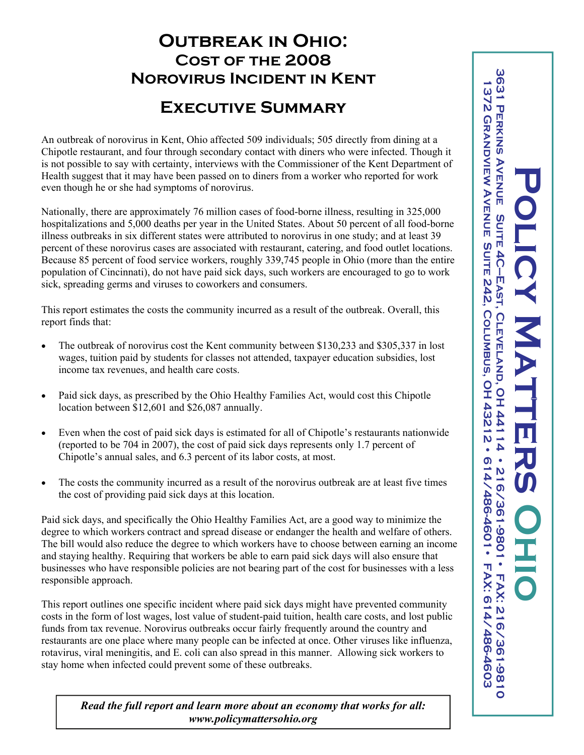## **Outbreak in Ohio: Cost of the 2008 Norovirus Incident in Kent**

## **Executive Summary**

An outbreak of norovirus in Kent, Ohio affected 509 individuals; 505 directly from dining at a Chipotle restaurant, and four through secondary contact with diners who were infected. Though it is not possible to say with certainty, interviews with the Commissioner of the Kent Department of Health suggest that it may have been passed on to diners from a worker who reported for work even though he or she had symptoms of norovirus.

Nationally, there are approximately 76 million cases of food-borne illness, resulting in 325,000 hospitalizations and 5,000 deaths per year in the United States. About 50 percent of all food-borne illness outbreaks in six different states were attributed to norovirus in one study; and at least 39 percent of these norovirus cases are associated with restaurant, catering, and food outlet locations. Because 85 percent of food service workers, roughly 339,745 people in Ohio (more than the entire population of Cincinnati), do not have paid sick days, such workers are encouraged to go to work sick, spreading germs and viruses to coworkers and consumers.

This report estimates the costs the community incurred as a result of the outbreak. Overall, this report finds that:

- The outbreak of norovirus cost the Kent community between \$130,233 and \$305,337 in lost wages, tuition paid by students for classes not attended, taxpayer education subsidies, lost income tax revenues, and health care costs.
- Paid sick days, as prescribed by the Ohio Healthy Families Act, would cost this Chipotle location between \$12,601 and \$26,087 annually.
- Even when the cost of paid sick days is estimated for all of Chipotle's restaurants nationwide (reported to be 704 in 2007), the cost of paid sick days represents only 1.7 percent of Chipotle's annual sales, and 6.3 percent of its labor costs, at most.
- The costs the community incurred as a result of the norovirus outbreak are at least five times the cost of providing paid sick days at this location.

Paid sick days, and specifically the Ohio Healthy Families Act, are a good way to minimize the degree to which workers contract and spread disease or endanger the health and welfare of others. The bill would also reduce the degree to which workers have to choose between earning an income and staying healthy. Requiring that workers be able to earn paid sick days will also ensure that businesses who have responsible policies are not bearing part of the cost for businesses with a less responsible approach.

This report outlines one specific incident where paid sick days might have prevented community costs in the form of lost wages, lost value of student-paid tuition, health care costs, and lost public funds from tax revenue. Norovirus outbreaks occur fairly frequently around the country and restaurants are one place where many people can be infected at once. Other viruses like influenza, rotavirus, viral meningitis, and E. coli can also spread in this manner. Allowing sick workers to stay home when infected could prevent some of these outbreaks.

*Read the full report and learn more about an economy that works for all: www.policymattersohio.org*